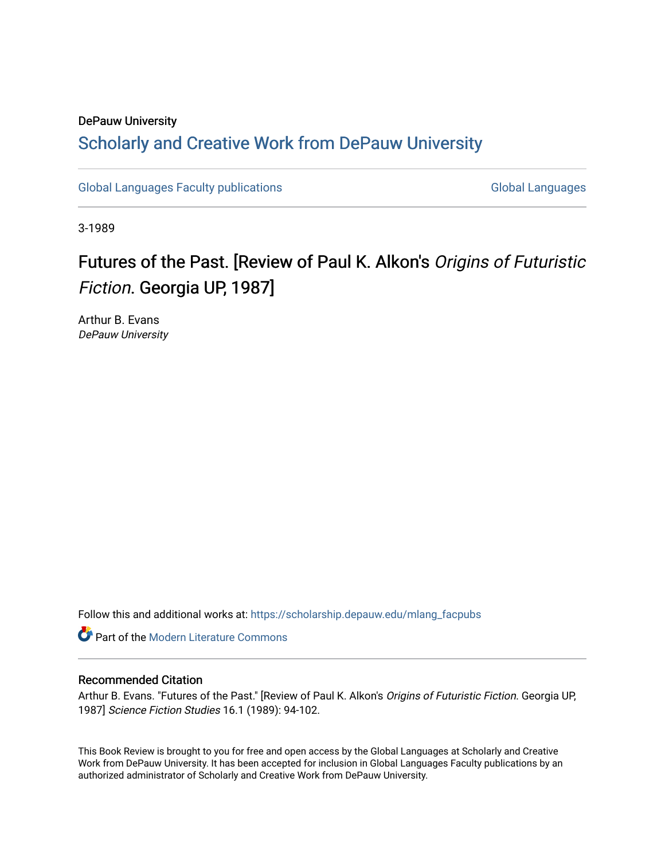## DePauw University Scholarly and [Creative Work from DePauw Univ](https://scholarship.depauw.edu/)ersity

[Global Languages Faculty publications](https://scholarship.depauw.edu/mlang_facpubs) [Global Languages](https://scholarship.depauw.edu/modernlanguages) Global Languages

3-1989

# Futures of the Past. [Review of Paul K. Alkon's Origins of Futuristic Fiction. Georgia UP, 1987]

Arthur B. Evans DePauw University

Follow this and additional works at: [https://scholarship.depauw.edu/mlang\\_facpubs](https://scholarship.depauw.edu/mlang_facpubs?utm_source=scholarship.depauw.edu%2Fmlang_facpubs%2F37&utm_medium=PDF&utm_campaign=PDFCoverPages)

**Part of the Modern Literature Commons** 

#### Recommended Citation

Arthur B. Evans. "Futures of the Past." [Review of Paul K. Alkon's Origins of Futuristic Fiction. Georgia UP, 1987] Science Fiction Studies 16.1 (1989): 94-102.

This Book Review is brought to you for free and open access by the Global Languages at Scholarly and Creative Work from DePauw University. It has been accepted for inclusion in Global Languages Faculty publications by an authorized administrator of Scholarly and Creative Work from DePauw University.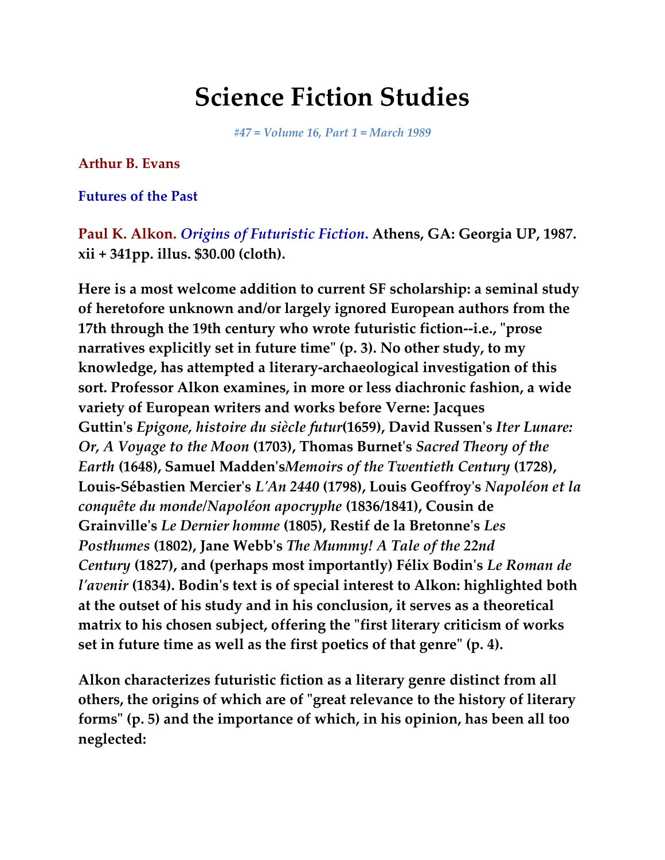# **Science Fiction Studies**

*#47 = Volume 16, Part 1 = March 1989*

### **Arthur B. Evans**

**Futures of the Past**

**Paul K. Alkon.** *Origins of Futuristic Fiction***. Athens, GA: Georgia UP, 1987. xii + 341pp. illus. \$30.00 (cloth).**

**Here is a most welcome addition to current SF scholarship: a seminal study of heretofore unknown and/or largely ignored European authors from the 17th through the 19th century who wrote futuristic fiction--i.e., "prose narratives explicitly set in future time" (p. 3). No other study, to my knowledge, has attempted a literary-archaeological investigation of this sort. Professor Alkon examines, in more or less diachronic fashion, a wide variety of European writers and works before Verne: Jacques Guttin's** *Epigone, histoire du siècle futur***(1659), David Russen's** *Iter Lunare: Or, A Voyage to the Moon* **(1703), Thomas Burnet's** *Sacred Theory of the Earth* **(1648), Samuel Madden's***Memoirs of the Twentieth Century* **(1728), Louis-Sébastien Mercier's** *L'An 2440* **(1798), Louis Geoffroy's** *Napoléon et la conquête du monde/Napoléon apocryphe* **(1836/1841), Cousin de Grainville's** *Le Dernier homme* **(1805), Restif de la Bretonne's** *Les Posthumes* **(1802), Jane Webb's** *The Mummy! A Tale of the 22nd Century* **(1827), and (perhaps most importantly) Félix Bodin's** *Le Roman de l'avenir* **(1834). Bodin's text is of special interest to Alkon: highlighted both at the outset of his study and in his conclusion, it serves as a theoretical matrix to his chosen subject, offering the "first literary criticism of works set in future time as well as the first poetics of that genre" (p. 4).**

**Alkon characterizes futuristic fiction as a literary genre distinct from all others, the origins of which are of "great relevance to the history of literary forms" (p. 5) and the importance of which, in his opinion, has been all too neglected:**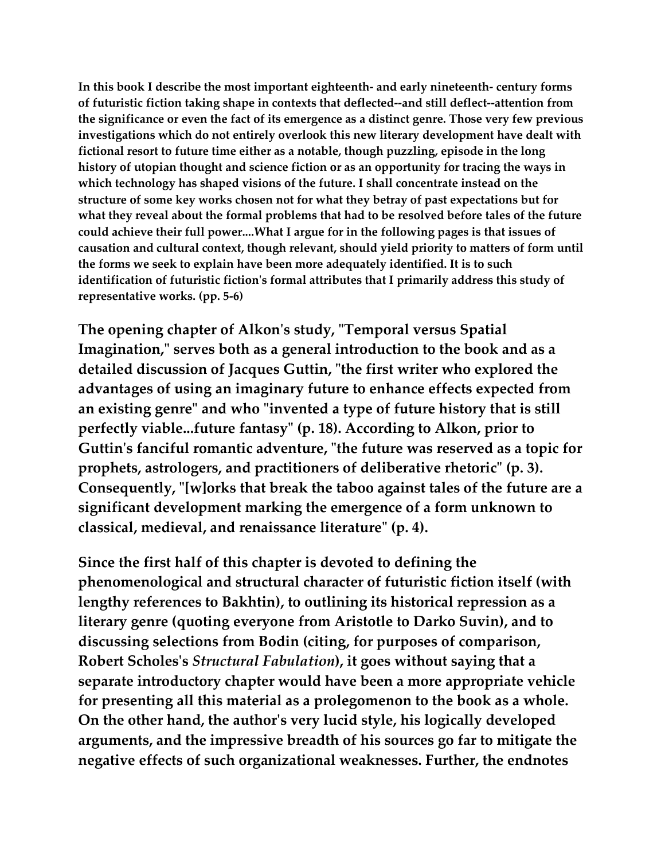**In this book I describe the most important eighteenth- and early nineteenth- century forms of futuristic fiction taking shape in contexts that deflected--and still deflect--attention from the significance or even the fact of its emergence as a distinct genre. Those very few previous investigations which do not entirely overlook this new literary development have dealt with fictional resort to future time either as a notable, though puzzling, episode in the long history of utopian thought and science fiction or as an opportunity for tracing the ways in which technology has shaped visions of the future. I shall concentrate instead on the structure of some key works chosen not for what they betray of past expectations but for what they reveal about the formal problems that had to be resolved before tales of the future could achieve their full power....What I argue for in the following pages is that issues of causation and cultural context, though relevant, should yield priority to matters of form until the forms we seek to explain have been more adequately identified. It is to such identification of futuristic fiction's formal attributes that I primarily address this study of representative works. (pp. 5-6)**

**The opening chapter of Alkon's study, "Temporal versus Spatial Imagination," serves both as a general introduction to the book and as a detailed discussion of Jacques Guttin, "the first writer who explored the advantages of using an imaginary future to enhance effects expected from an existing genre" and who "invented a type of future history that is still perfectly viable...future fantasy" (p. 18). According to Alkon, prior to Guttin's fanciful romantic adventure, "the future was reserved as a topic for prophets, astrologers, and practitioners of deliberative rhetoric" (p. 3). Consequently, "[w]orks that break the taboo against tales of the future are a significant development marking the emergence of a form unknown to classical, medieval, and renaissance literature" (p. 4).**

**Since the first half of this chapter is devoted to defining the phenomenological and structural character of futuristic fiction itself (with lengthy references to Bakhtin), to outlining its historical repression as a literary genre (quoting everyone from Aristotle to Darko Suvin), and to discussing selections from Bodin (citing, for purposes of comparison, Robert Scholes's** *Structural Fabulation***), it goes without saying that a separate introductory chapter would have been a more appropriate vehicle for presenting all this material as a prolegomenon to the book as a whole. On the other hand, the author's very lucid style, his logically developed arguments, and the impressive breadth of his sources go far to mitigate the negative effects of such organizational weaknesses. Further, the endnotes**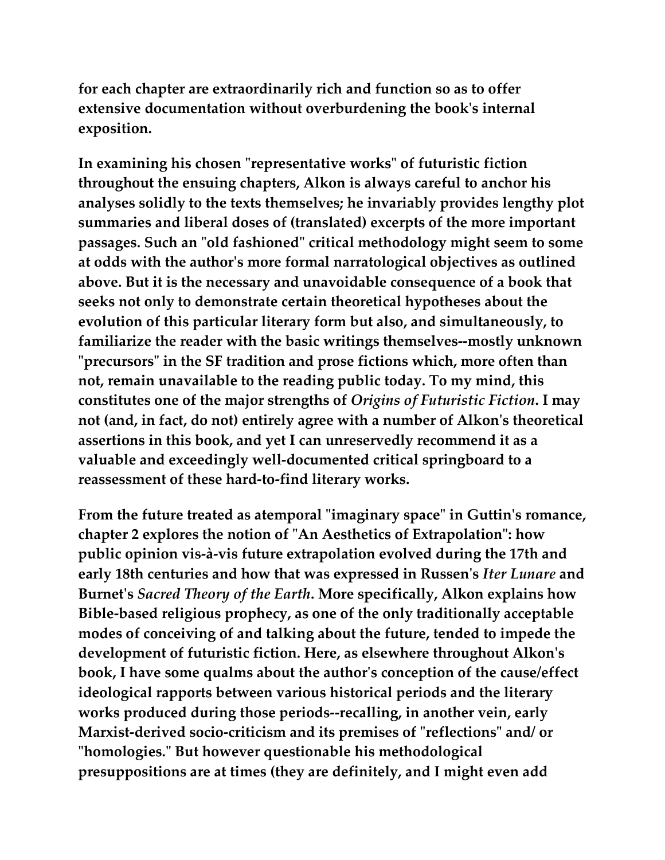**for each chapter are extraordinarily rich and function so as to offer extensive documentation without overburdening the book's internal exposition.**

**In examining his chosen "representative works" of futuristic fiction throughout the ensuing chapters, Alkon is always careful to anchor his analyses solidly to the texts themselves; he invariably provides lengthy plot summaries and liberal doses of (translated) excerpts of the more important passages. Such an "old fashioned" critical methodology might seem to some at odds with the author's more formal narratological objectives as outlined above. But it is the necessary and unavoidable consequence of a book that seeks not only to demonstrate certain theoretical hypotheses about the evolution of this particular literary form but also, and simultaneously, to familiarize the reader with the basic writings themselves--mostly unknown "precursors" in the SF tradition and prose fictions which, more often than not, remain unavailable to the reading public today. To my mind, this constitutes one of the major strengths of** *Origins of Futuristic Fiction***. I may not (and, in fact, do not) entirely agree with a number of Alkon's theoretical assertions in this book, and yet I can unreservedly recommend it as a valuable and exceedingly well-documented critical springboard to a reassessment of these hard-to-find literary works.**

**From the future treated as atemporal "imaginary space" in Guttin's romance, chapter 2 explores the notion of "An Aesthetics of Extrapolation": how public opinion vis-à-vis future extrapolation evolved during the 17th and early 18th centuries and how that was expressed in Russen's** *Iter Lunare* **and Burnet's** *Sacred Theory of the Earth***. More specifically, Alkon explains how Bible-based religious prophecy, as one of the only traditionally acceptable modes of conceiving of and talking about the future, tended to impede the development of futuristic fiction. Here, as elsewhere throughout Alkon's book, I have some qualms about the author's conception of the cause/effect ideological rapports between various historical periods and the literary works produced during those periods--recalling, in another vein, early Marxist-derived socio-criticism and its premises of "reflections" and/ or "homologies." But however questionable his methodological presuppositions are at times (they are definitely, and I might even add**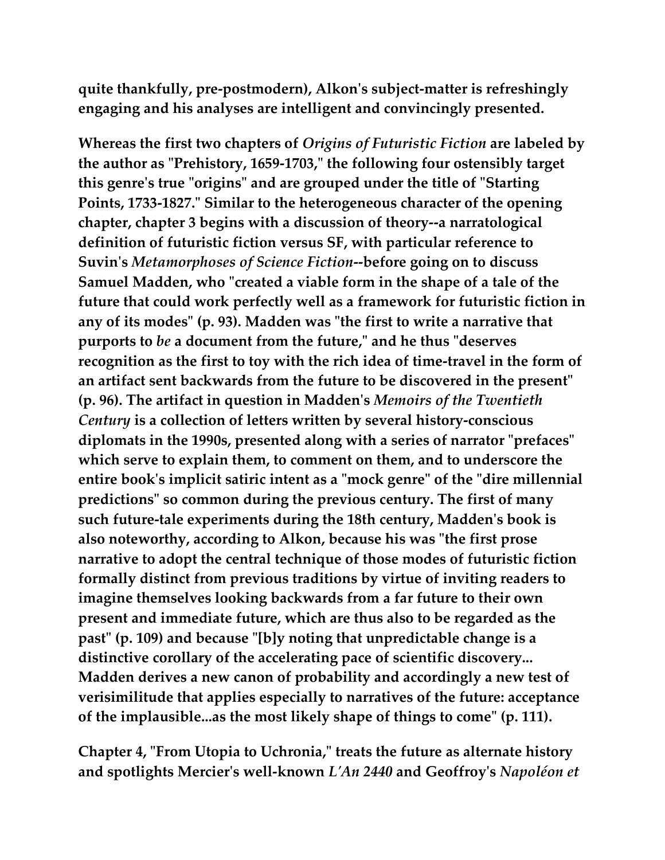**quite thankfully, pre-postmodern), Alkon's subject-matter is refreshingly engaging and his analyses are intelligent and convincingly presented.**

**Whereas the first two chapters of** *Origins of Futuristic Fiction* **are labeled by the author as "Prehistory, 1659-1703," the following four ostensibly target this genre's true "origins" and are grouped under the title of "Starting Points, 1733-1827." Similar to the heterogeneous character of the opening chapter, chapter 3 begins with a discussion of theory--a narratological definition of futuristic fiction versus SF, with particular reference to Suvin's** *Metamorphoses of Science Fiction***--before going on to discuss Samuel Madden, who "created a viable form in the shape of a tale of the future that could work perfectly well as a framework for futuristic fiction in any of its modes" (p. 93). Madden was "the first to write a narrative that purports to** *be* **a document from the future," and he thus "deserves recognition as the first to toy with the rich idea of time-travel in the form of an artifact sent backwards from the future to be discovered in the present" (p. 96). The artifact in question in Madden's** *Memoirs of the Twentieth Century* **is a collection of letters written by several history-conscious diplomats in the 1990s, presented along with a series of narrator "prefaces" which serve to explain them, to comment on them, and to underscore the entire book's implicit satiric intent as a "mock genre" of the "dire millennial predictions" so common during the previous century. The first of many such future-tale experiments during the 18th century, Madden's book is also noteworthy, according to Alkon, because his was "the first prose narrative to adopt the central technique of those modes of futuristic fiction formally distinct from previous traditions by virtue of inviting readers to imagine themselves looking backwards from a far future to their own present and immediate future, which are thus also to be regarded as the past" (p. 109) and because "[b]y noting that unpredictable change is a distinctive corollary of the accelerating pace of scientific discovery... Madden derives a new canon of probability and accordingly a new test of verisimilitude that applies especially to narratives of the future: acceptance of the implausible...as the most likely shape of things to come" (p. 111).**

**Chapter 4, "From Utopia to Uchronia," treats the future as alternate history and spotlights Mercier's well-known** *L'An 2440* **and Geoffroy's** *Napoléon et*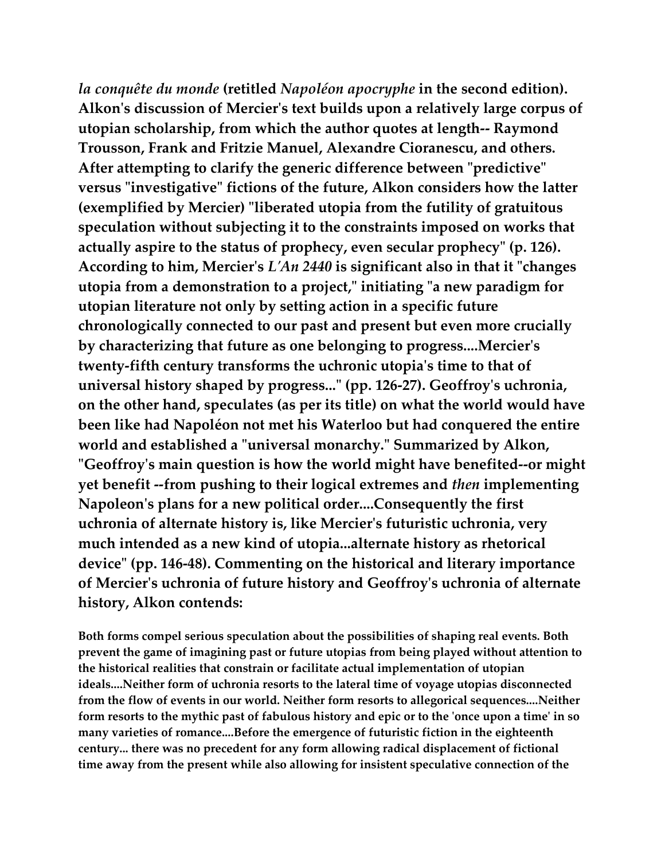*la conquête du monde* **(retitled** *Napoléon apocryphe* **in the second edition). Alkon's discussion of Mercier's text builds upon a relatively large corpus of utopian scholarship, from which the author quotes at length-- Raymond Trousson, Frank and Fritzie Manuel, Alexandre Cioranescu, and others. After attempting to clarify the generic difference between "predictive" versus "investigative" fictions of the future, Alkon considers how the latter (exemplified by Mercier) "liberated utopia from the futility of gratuitous speculation without subjecting it to the constraints imposed on works that actually aspire to the status of prophecy, even secular prophecy" (p. 126). According to him, Mercier's** *L'An 2440* **is significant also in that it "changes utopia from a demonstration to a project," initiating "a new paradigm for utopian literature not only by setting action in a specific future chronologically connected to our past and present but even more crucially by characterizing that future as one belonging to progress....Mercier's twenty-fifth century transforms the uchronic utopia's time to that of universal history shaped by progress..." (pp. 126-27). Geoffroy's uchronia, on the other hand, speculates (as per its title) on what the world would have been like had Napoléon not met his Waterloo but had conquered the entire world and established a "universal monarchy." Summarized by Alkon, "Geoffroy's main question is how the world might have benefited--or might yet benefit --from pushing to their logical extremes and** *then* **implementing Napoleon's plans for a new political order....Consequently the first uchronia of alternate history is, like Mercier's futuristic uchronia, very much intended as a new kind of utopia...alternate history as rhetorical device" (pp. 146-48). Commenting on the historical and literary importance of Mercier's uchronia of future history and Geoffroy's uchronia of alternate history, Alkon contends:**

**Both forms compel serious speculation about the possibilities of shaping real events. Both prevent the game of imagining past or future utopias from being played without attention to the historical realities that constrain or facilitate actual implementation of utopian ideals....Neither form of uchronia resorts to the lateral time of voyage utopias disconnected from the flow of events in our world. Neither form resorts to allegorical sequences....Neither form resorts to the mythic past of fabulous history and epic or to the 'once upon a time' in so many varieties of romance....Before the emergence of futuristic fiction in the eighteenth century... there was no precedent for any form allowing radical displacement of fictional time away from the present while also allowing for insistent speculative connection of the**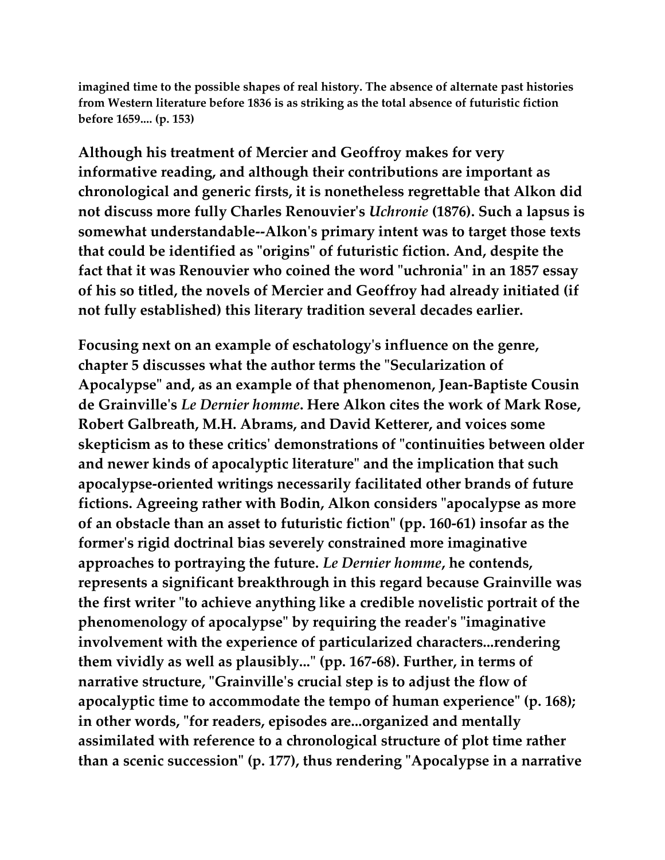**imagined time to the possible shapes of real history. The absence of alternate past histories from Western literature before 1836 is as striking as the total absence of futuristic fiction before 1659.... (p. 153)**

**Although his treatment of Mercier and Geoffroy makes for very informative reading, and although their contributions are important as chronological and generic firsts, it is nonetheless regrettable that Alkon did not discuss more fully Charles Renouvier's** *Uchronie* **(1876). Such a lapsus is somewhat understandable--Alkon's primary intent was to target those texts that could be identified as "origins" of futuristic fiction. And, despite the fact that it was Renouvier who coined the word "uchronia" in an 1857 essay of his so titled, the novels of Mercier and Geoffroy had already initiated (if not fully established) this literary tradition several decades earlier.**

**Focusing next on an example of eschatology's influence on the genre, chapter 5 discusses what the author terms the "Secularization of Apocalypse" and, as an example of that phenomenon, Jean-Baptiste Cousin de Grainville's** *Le Dernier homme***. Here Alkon cites the work of Mark Rose, Robert Galbreath, M.H. Abrams, and David Ketterer, and voices some skepticism as to these critics' demonstrations of "continuities between older and newer kinds of apocalyptic literature" and the implication that such apocalypse-oriented writings necessarily facilitated other brands of future fictions. Agreeing rather with Bodin, Alkon considers "apocalypse as more of an obstacle than an asset to futuristic fiction" (pp. 160-61) insofar as the former's rigid doctrinal bias severely constrained more imaginative approaches to portraying the future.** *Le Dernier homme***, he contends, represents a significant breakthrough in this regard because Grainville was the first writer "to achieve anything like a credible novelistic portrait of the phenomenology of apocalypse" by requiring the reader's "imaginative involvement with the experience of particularized characters...rendering them vividly as well as plausibly..." (pp. 167-68). Further, in terms of narrative structure, "Grainville's crucial step is to adjust the flow of apocalyptic time to accommodate the tempo of human experience" (p. 168); in other words, "for readers, episodes are...organized and mentally assimilated with reference to a chronological structure of plot time rather than a scenic succession" (p. 177), thus rendering "Apocalypse in a narrative**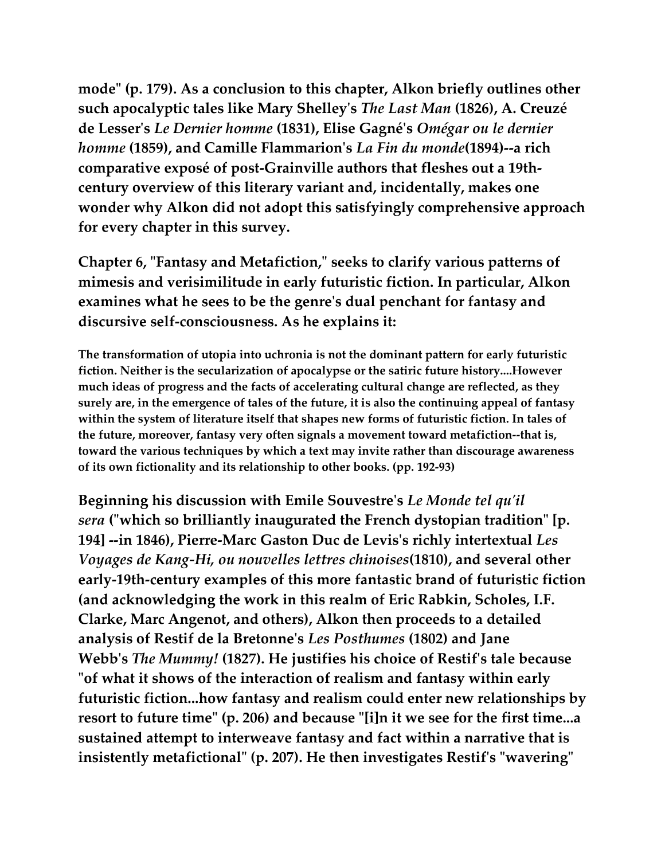**mode" (p. 179). As a conclusion to this chapter, Alkon briefly outlines other such apocalyptic tales like Mary Shelley's** *The Last Man* **(1826), A. Creuzé de Lesser's** *Le Dernier homme* **(1831), Elise Gagné's** *Omégar ou le dernier homme* **(1859), and Camille Flammarion's** *La Fin du monde***(1894)--a rich comparative exposé of post-Grainville authors that fleshes out a 19thcentury overview of this literary variant and, incidentally, makes one wonder why Alkon did not adopt this satisfyingly comprehensive approach for every chapter in this survey.**

**Chapter 6, "Fantasy and Metafiction," seeks to clarify various patterns of mimesis and verisimilitude in early futuristic fiction. In particular, Alkon examines what he sees to be the genre's dual penchant for fantasy and discursive self-consciousness. As he explains it:**

**The transformation of utopia into uchronia is not the dominant pattern for early futuristic fiction. Neither is the secularization of apocalypse or the satiric future history....However much ideas of progress and the facts of accelerating cultural change are reflected, as they surely are, in the emergence of tales of the future, it is also the continuing appeal of fantasy within the system of literature itself that shapes new forms of futuristic fiction. In tales of the future, moreover, fantasy very often signals a movement toward metafiction--that is, toward the various techniques by which a text may invite rather than discourage awareness of its own fictionality and its relationship to other books. (pp. 192-93)**

**Beginning his discussion with Emile Souvestre's** *Le Monde tel qu'il sera* **("which so brilliantly inaugurated the French dystopian tradition" [p. 194] --in 1846), Pierre-Marc Gaston Duc de Levis's richly intertextual** *Les Voyages de Kang-Hi, ou nouvelles lettres chinoises***(1810), and several other early-19th-century examples of this more fantastic brand of futuristic fiction (and acknowledging the work in this realm of Eric Rabkin, Scholes, I.F. Clarke, Marc Angenot, and others), Alkon then proceeds to a detailed analysis of Restif de la Bretonne's** *Les Posthumes* **(1802) and Jane Webb's** *The Mummy!* **(1827). He justifies his choice of Restif's tale because "of what it shows of the interaction of realism and fantasy within early futuristic fiction...how fantasy and realism could enter new relationships by resort to future time" (p. 206) and because "[i]n it we see for the first time...a sustained attempt to interweave fantasy and fact within a narrative that is insistently metafictional" (p. 207). He then investigates Restif's "wavering"**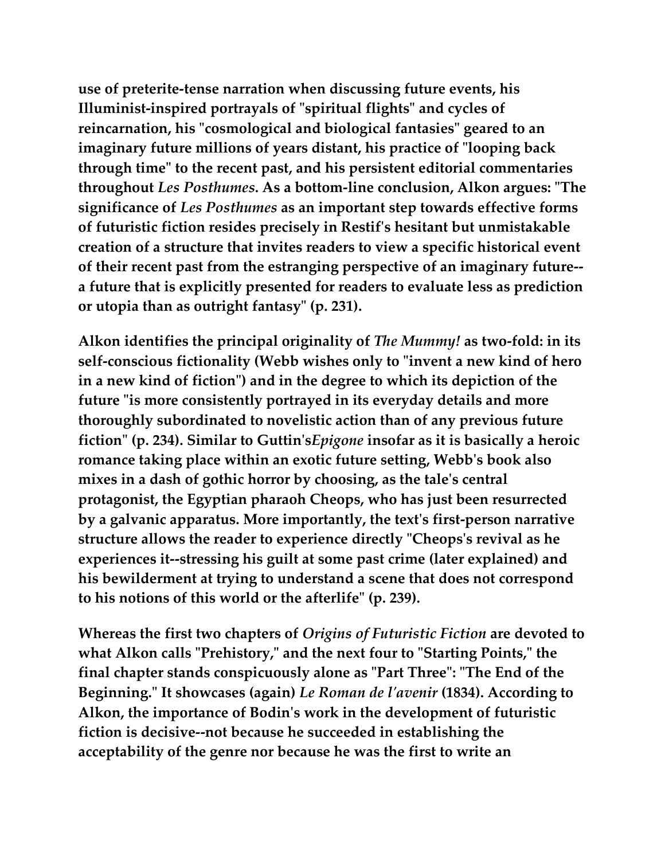**use of preterite-tense narration when discussing future events, his Illuminist-inspired portrayals of "spiritual flights" and cycles of reincarnation, his "cosmological and biological fantasies" geared to an imaginary future millions of years distant, his practice of "looping back through time" to the recent past, and his persistent editorial commentaries throughout** *Les Posthumes***. As a bottom-line conclusion, Alkon argues: "The significance of** *Les Posthumes* **as an important step towards effective forms of futuristic fiction resides precisely in Restif's hesitant but unmistakable creation of a structure that invites readers to view a specific historical event of their recent past from the estranging perspective of an imaginary future- a future that is explicitly presented for readers to evaluate less as prediction or utopia than as outright fantasy" (p. 231).**

**Alkon identifies the principal originality of** *The Mummy!* **as two-fold: in its self-conscious fictionality (Webb wishes only to "invent a new kind of hero in a new kind of fiction") and in the degree to which its depiction of the future "is more consistently portrayed in its everyday details and more thoroughly subordinated to novelistic action than of any previous future fiction" (p. 234). Similar to Guttin's***Epigone* **insofar as it is basically a heroic romance taking place within an exotic future setting, Webb's book also mixes in a dash of gothic horror by choosing, as the tale's central protagonist, the Egyptian pharaoh Cheops, who has just been resurrected by a galvanic apparatus. More importantly, the text's first-person narrative structure allows the reader to experience directly "Cheops's revival as he experiences it--stressing his guilt at some past crime (later explained) and his bewilderment at trying to understand a scene that does not correspond to his notions of this world or the afterlife" (p. 239).**

**Whereas the first two chapters of** *Origins of Futuristic Fiction* **are devoted to what Alkon calls "Prehistory," and the next four to "Starting Points," the final chapter stands conspicuously alone as "Part Three": "The End of the Beginning." It showcases (again)** *Le Roman de l'avenir* **(1834). According to Alkon, the importance of Bodin's work in the development of futuristic fiction is decisive--not because he succeeded in establishing the acceptability of the genre nor because he was the first to write an**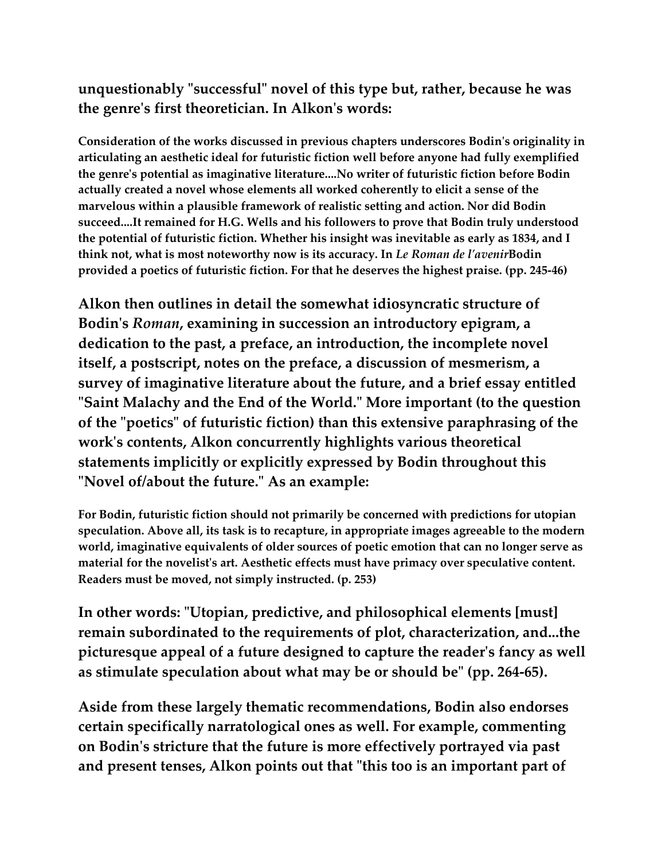### **unquestionably "successful" novel of this type but, rather, because he was the genre's first theoretician. In Alkon's words:**

**Consideration of the works discussed in previous chapters underscores Bodin's originality in articulating an aesthetic ideal for futuristic fiction well before anyone had fully exemplified the genre's potential as imaginative literature....No writer of futuristic fiction before Bodin actually created a novel whose elements all worked coherently to elicit a sense of the marvelous within a plausible framework of realistic setting and action. Nor did Bodin succeed....It remained for H.G. Wells and his followers to prove that Bodin truly understood the potential of futuristic fiction. Whether his insight was inevitable as early as 1834, and I think not, what is most noteworthy now is its accuracy. In** *Le Roman de l'avenir***Bodin provided a poetics of futuristic fiction. For that he deserves the highest praise. (pp. 245-46)**

**Alkon then outlines in detail the somewhat idiosyncratic structure of Bodin's** *Roman***, examining in succession an introductory epigram, a dedication to the past, a preface, an introduction, the incomplete novel itself, a postscript, notes on the preface, a discussion of mesmerism, a survey of imaginative literature about the future, and a brief essay entitled "Saint Malachy and the End of the World." More important (to the question of the "poetics" of futuristic fiction) than this extensive paraphrasing of the work's contents, Alkon concurrently highlights various theoretical statements implicitly or explicitly expressed by Bodin throughout this "Novel of/about the future." As an example:**

**For Bodin, futuristic fiction should not primarily be concerned with predictions for utopian speculation. Above all, its task is to recapture, in appropriate images agreeable to the modern world, imaginative equivalents of older sources of poetic emotion that can no longer serve as material for the novelist's art. Aesthetic effects must have primacy over speculative content. Readers must be moved, not simply instructed. (p. 253)**

**In other words: "Utopian, predictive, and philosophical elements [must] remain subordinated to the requirements of plot, characterization, and...the picturesque appeal of a future designed to capture the reader's fancy as well as stimulate speculation about what may be or should be" (pp. 264-65).**

**Aside from these largely thematic recommendations, Bodin also endorses certain specifically narratological ones as well. For example, commenting on Bodin's stricture that the future is more effectively portrayed via past and present tenses, Alkon points out that "this too is an important part of**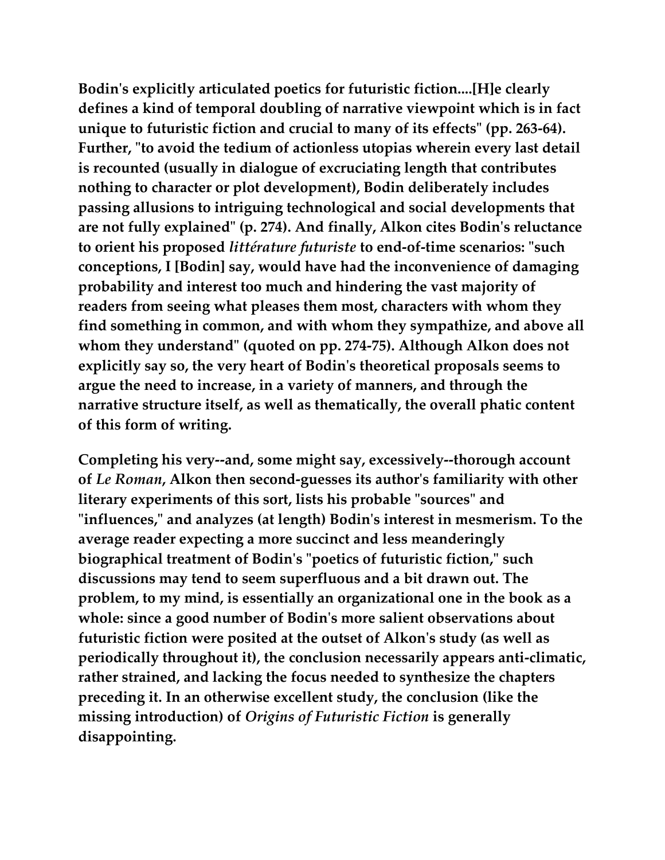**Bodin's explicitly articulated poetics for futuristic fiction....[H]e clearly defines a kind of temporal doubling of narrative viewpoint which is in fact unique to futuristic fiction and crucial to many of its effects" (pp. 263-64). Further, "to avoid the tedium of actionless utopias wherein every last detail is recounted (usually in dialogue of excruciating length that contributes nothing to character or plot development), Bodin deliberately includes passing allusions to intriguing technological and social developments that are not fully explained" (p. 274). And finally, Alkon cites Bodin's reluctance to orient his proposed** *littérature futuriste* **to end-of-time scenarios: "such conceptions, I [Bodin] say, would have had the inconvenience of damaging probability and interest too much and hindering the vast majority of readers from seeing what pleases them most, characters with whom they find something in common, and with whom they sympathize, and above all whom they understand" (quoted on pp. 274-75). Although Alkon does not explicitly say so, the very heart of Bodin's theoretical proposals seems to argue the need to increase, in a variety of manners, and through the narrative structure itself, as well as thematically, the overall phatic content of this form of writing.**

**Completing his very--and, some might say, excessively--thorough account of** *Le Roman***, Alkon then second-guesses its author's familiarity with other literary experiments of this sort, lists his probable "sources" and "influences," and analyzes (at length) Bodin's interest in mesmerism. To the average reader expecting a more succinct and less meanderingly biographical treatment of Bodin's "poetics of futuristic fiction," such discussions may tend to seem superfluous and a bit drawn out. The problem, to my mind, is essentially an organizational one in the book as a whole: since a good number of Bodin's more salient observations about futuristic fiction were posited at the outset of Alkon's study (as well as periodically throughout it), the conclusion necessarily appears anti-climatic, rather strained, and lacking the focus needed to synthesize the chapters preceding it. In an otherwise excellent study, the conclusion (like the missing introduction) of** *Origins of Futuristic Fiction* **is generally disappointing.**